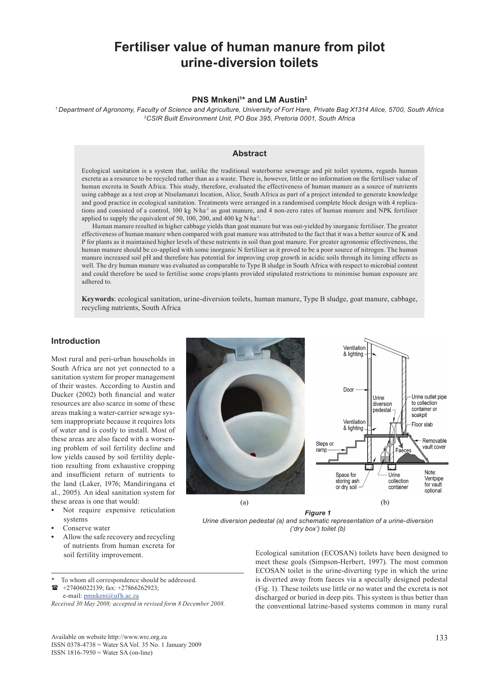# **Fertiliser value of human manure from pilot urine-diversion toilets**

## **PNS Mnkeni<sup>1\*</sup> and LM Austin<sup>2</sup>**

*1 Department of Agronomy, Faculty of Science and Agriculture, University of Fort Hare, Private Bag X1314 Alice, 5700, South Africa 2CSIR Built Environment Unit, PO Box 395, Pretoria 0001, South Africa*

### **Abstract**

Ecological sanitation is a system that, unlike the traditional waterborne sewerage and pit toilet systems, regards human excreta as a resource to be recycled rather than as a waste. There is, however, little or no information on the fertiliser value of human excreta in South Africa. This study, therefore, evaluated the effectiveness of human manure as a source of nutrients using cabbage as a test crop at Ntselamanzi location, Alice, South Africa as part of a project intended to generate knowledge and good practice in ecological sanitation. Treatments were arranged in a randomised complete block design with 4 replications and consisted of a control, 100 kg N∙ha-1 as goat manure, and 4 non-zero rates of human manure and NPK fertiliser applied to supply the equivalent of 50, 100, 200, and 400 kg N∙ha-1.

Human manure resulted in higher cabbage yields than goat manure but was out-yielded by inorganic fertiliser. The greater effectiveness of human manure when compared with goat manure was attributed to the fact that it was a better source of K and P for plants as it maintained higher levels of these nutrients in soil than goat manure. For greater agronomic effectiveness, the human manure should be co-applied with some inorganic N fertiliser as it proved to be a poor source of nitrogen. The human manure increased soil pH and therefore has potential for improving crop growth in acidic soils through its liming effects as well. The dry human manure was evaluated as comparable to Type B sludge in South Africa with respect to microbial content and could therefore be used to fertilise some crops/plants provided stipulated restrictions to minimise human exposure are adhered to.

**Keywords**: ecological sanitation, urine-diversion toilets, human manure, Type B sludge, goat manure, cabbage, recycling nutrients, South Africa

## **Introduction**

Most rural and peri-urban households in South Africa are not yet connected to a sanitation system for proper management of their wastes. According to Austin and Ducker (2002) both financial and water resources are also scarce in some of these areas making a water-carrier sewage system inappropriate because it requires lots of water and is costly to install. Most of these areas are also faced with a worsening problem of soil fertility decline and low yields caused by soil fertility depletion resulting from exhaustive cropping and insufficient return of nutrients to the land (Laker, 1976; Mandiringana et al*.*, 2005). An ideal sanitation system for these areas is one that would:

- **•** Not require expensive reticulation systems
- **•** Conserve water
- **•** Allow the safe recovery and recycling of nutrients from human excreta for



 +27406022139; fax: +27866262923; e-mail: pmnkeni@ufh.ac.za

Ventilation & lighting Door Urine outlet pipe Urine diversion to collection container or nedestal soakpit Ventilation Floor slab & lighting Removable Steps or vault cover ramp EZ. E. Note: Space for Urine Ventpipe storing ash collection for vault or dry soil containe optional I,  $(a)$  (b)

## *Fig. 1 Figure 1*

*Urine diversion pedestal (a) and schematic representation of a ('dry box') toilet (b)Urine diversion pedestal (a) and schematic representation of a urine-diversion* 

soil fertility improvement.<br>
Ecological sanitation (ECOSAN) toilets have been designed to meet these goals (Simpson-Herbert, 1997). The most common ECOSAN toilet is the urine-diverting type in which the urine is diverted away from faeces via a specially designed pedestal (Fig. 1). These toilets use little or no water and the excreta is not discharged or buried in deep pits. This system is thus better than the conventional latrine-based systems common in many rural

*Received 30 May 2008; accepted in revised form 8 December 2008.*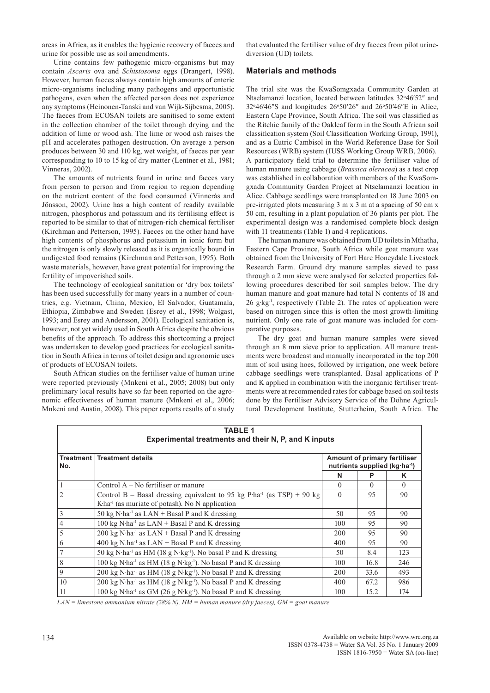areas in Africa, as it enables the hygienic recovery of faeces and urine for possible use as soil amendments.

Urine contains few pathogenic micro-organisms but may contain *Ascaris* ova and *Schistosoma* eggs (Drangert, 1998). However, human faeces always contain high amounts of enteric micro-organisms including many pathogens and opportunistic pathogens, even when the affected person does not experience any symptoms (Heinonen-Tanski and van Wijk-Sijbesma, 2005). The faeces from ECOSAN toilets are sanitised to some extent in the collection chamber of the toilet through drying and the addition of lime or wood ash. The lime or wood ash raises the pH and accelerates pathogen destruction. On average a person produces between 30 and 110 kg, wet weight, of faeces per year corresponding to 10 to 15 kg of dry matter (Lentner et al., 1981; Vinneras, 2002).

The amounts of nutrients found in urine and faeces vary from person to person and from region to region depending on the nutrient content of the food consumed (Vinnerås and Jönsson, 2002). Urine has a high content of readily available nitrogen, phosphorus and potassium and its fertilising effect is reported to be similar to that of nitrogen-rich chemical fertiliser (Kirchman and Petterson, 1995). Faeces on the other hand have high contents of phosphorus and potassium in ionic form but the nitrogen is only slowly released as it is organically bound in undigested food remains (Kirchman and Petterson, 1995). Both waste materials, however, have great potential for improving the fertility of impoverished soils.

The technology of ecological sanitation or 'dry box toilets' has been used successfully for many years in a number of countries, e.g. Vietnam, China, Mexico, El Salvador, Guatamala, Ethiopia, Zimbabwe and Sweden (Esrey et al., 1998; Wolgast, 1993; and Esrey and Andersson, 2001). Ecological sanitation is, however, not yet widely used in South Africa despite the obvious benefits of the approach. To address this shortcoming a project was undertaken to develop good practices for ecological sanitation in South Africa in terms of toilet design and agronomic uses of products of ECOSAN toilets.

South African studies on the fertiliser value of human urine were reported previously (Mnkeni et al., 2005; 2008) but only preliminary local results have so far been reported on the agronomic effectiveness of human manure (Mnkeni et al., 2006; Mnkeni and Austin, 2008). This paper reports results of a study that evaluated the fertiliser value of dry faeces from pilot urinediversion (UD) toilets.

### **Materials and methods**

The trial site was the KwaSomgxada Community Garden at Ntselamanzi location, located between latitudes 32°46'52" and 32°46′46″S and longitudes 26°50′26″ and 26°50′46″E in Alice, Eastern Cape Province, South Africa. The soil was classified as the Ritchie family of the Oakleaf form in the South African soil classification system (Soil Classification Working Group, 1991), and as a Eutric Cambisol in the World Reference Base for Soil Resources (WRB) system (IUSS Working Group WRB, 2006). A participatory field trial to determine the fertiliser value of human manure using cabbage (*Brassica oleracea*) as a test crop was established in collaboration with members of the KwaSomgxada Community Garden Project at Ntselamanzi location in Alice. Cabbage seedlings were transplanted on 18 June 2003 on pre-irrigated plots measuring 3 m x 3 m at a spacing of 50 cm x 50 cm, resulting in a plant population of 36 plants per plot. The experimental design was a randomised complete block design with 11 treatments (Table 1) and 4 replications.

The human manure was obtained from UD toilets in Mthatha, Eastern Cape Province, South Africa while goat manure was obtained from the University of Fort Hare Honeydale Livestock Research Farm. Ground dry manure samples sieved to pass through a 2 mm sieve were analysed for selected properties following procedures described for soil samples below. The dry human manure and goat manure had total N contents of 18 and 26 g⋅kg<sup>-1</sup>, respectively (Table 2). The rates of application were based on nitrogen since this is often the most growth-limiting nutrient. Only one rate of goat manure was included for comparative purposes.

The dry goat and human manure samples were sieved through an 8 mm sieve prior to application. All manure treatments were broadcast and manually incorporated in the top 200 mm of soil using hoes, followed by irrigation, one week before cabbage seedlings were transplanted. Basal applications of P and K applied in combination with the inorganic fertiliser treatments were at recommended rates for cabbage based on soil tests done by the Fertiliser Advisory Service of the Döhne Agricultural Development Institute, Stutterheim, South Africa. The

| <b>TABLE 1</b><br>Experimental treatments and their N, P, and K inputs |                                                                                       |                                                                           |          |          |  |  |  |  |  |  |
|------------------------------------------------------------------------|---------------------------------------------------------------------------------------|---------------------------------------------------------------------------|----------|----------|--|--|--|--|--|--|
| No.                                                                    | Treatment   Treatment details                                                         | Amount of primary fertiliser<br>nutrients supplied (kg ha <sup>-1</sup> ) |          |          |  |  |  |  |  |  |
|                                                                        |                                                                                       | N                                                                         | P        | ĸ        |  |  |  |  |  |  |
| $\vert$ 1                                                              | Control $A - No$ fertiliser or manure                                                 | $\Omega$                                                                  | $\Omega$ | $\Omega$ |  |  |  |  |  |  |
| $\overline{2}$                                                         | Control B – Basal dressing equivalent to 95 kg P·ha <sup>-1</sup> (as TSP) + 90 kg    | $\Omega$                                                                  | 95       | 90       |  |  |  |  |  |  |
|                                                                        | $K$ ha <sup>-1</sup> (as muriate of potash). No N application                         |                                                                           |          |          |  |  |  |  |  |  |
| $\vert$ 3                                                              | 50 kg N·ha <sup>-1</sup> as $LAN + Basal$ P and K dressing                            | 50                                                                        | 95       | 90       |  |  |  |  |  |  |
| $\vert 4$                                                              | 100 kg N·ha <sup>-1</sup> as $LAN + Basal$ P and K dressing                           | 100                                                                       | 95       | 90       |  |  |  |  |  |  |
| 5                                                                      | $200 \text{ kg N·ha}^{-1}$ as $LAN + Basal$ P and K dressing                          | 200                                                                       | 95       | 90       |  |  |  |  |  |  |
| $6\overline{6}$                                                        | 400 kg N.ha <sup>-1</sup> as $LAN + Basal$ P and K dressing                           | 400                                                                       | 95       | 90       |  |  |  |  |  |  |
| 7                                                                      | 50 kg N·ha <sup>-1</sup> as HM (18 g N·kg <sup>-1</sup> ). No basal P and K dressing  | 50                                                                        | 8.4      | 123      |  |  |  |  |  |  |
| 8                                                                      | 100 kg N·ha <sup>-1</sup> as HM (18 g N·kg <sup>-1</sup> ). No basal P and K dressing | 100                                                                       | 16.8     | 246      |  |  |  |  |  |  |
| $\overline{9}$                                                         | 200 kg N·ha <sup>-1</sup> as HM (18 g N·kg <sup>-1</sup> ). No basal P and K dressing | 200                                                                       | 33.6     | 493      |  |  |  |  |  |  |
| 10                                                                     | 200 kg N·ha <sup>-1</sup> as HM (18 g N·kg <sup>-1</sup> ). No basal P and K dressing | 400                                                                       | 67.2     | 986      |  |  |  |  |  |  |
| 11                                                                     | 100 kg N·ha <sup>-1</sup> as GM (26 g N·kg <sup>-1</sup> ). No basal P and K dressing | 100                                                                       | 15.2     | 174      |  |  |  |  |  |  |

*LAN = limestone ammonium nitrate (28% N), HM = human manure (dry faeces), GM = goat manure*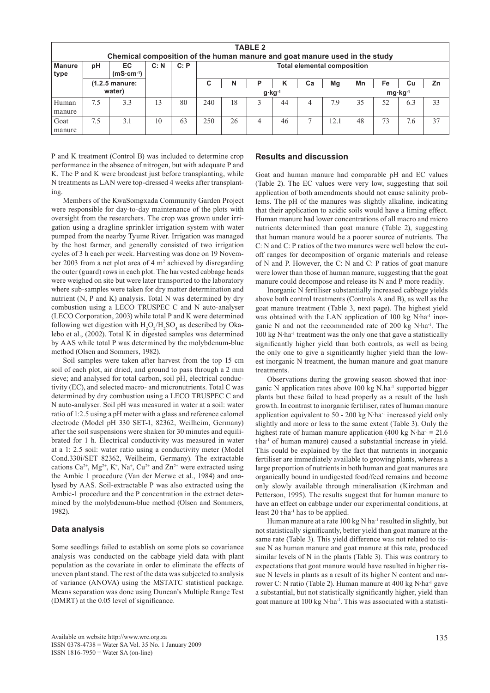| <b>TABLE 2</b><br>Chemical composition of the human manure and goat manure used in the study |                  |                    |      |                                                |                                    |    |   |    |    |     |    |    |     |    |
|----------------------------------------------------------------------------------------------|------------------|--------------------|------|------------------------------------------------|------------------------------------|----|---|----|----|-----|----|----|-----|----|
| <b>Manure</b><br>type                                                                        | pH               | EC.<br>$(mS·cm-1)$ | C: N | C: P                                           | <b>Total elemental composition</b> |    |   |    |    |     |    |    |     |    |
|                                                                                              | $(1.2.5$ manure: |                    |      |                                                | С                                  | N  | P | K  | Ca | Mg  | Mn | Fe | Cu  | Zn |
| water)                                                                                       |                  |                    |      | $mg \cdot \text{kg}^{-1}$<br>$g \cdot kg^{-1}$ |                                    |    |   |    |    |     |    |    |     |    |
| Human                                                                                        | 7.5              | 3.3                | 13   | 80                                             | 240                                | 18 |   | 44 | 4  | 7.9 | 35 | 52 | 6.3 | 33 |
| manure                                                                                       |                  |                    |      |                                                |                                    |    |   |    |    |     |    |    |     |    |
| Goat                                                                                         | 7.5              | 3.1                | 10   | 63                                             | 250                                | 26 |   | 46 | Ξ  | 2.1 | 48 | 73 | 7.6 | 37 |
| manure                                                                                       |                  |                    |      |                                                |                                    |    |   |    |    |     |    |    |     |    |

P and K treatment (Control B) was included to determine crop performance in the absence of nitrogen, but with adequate P and K. The P and K were broadcast just before transplanting, while N treatments as LAN were top-dressed 4 weeks after transplanting.

Members of the KwaSomgxada Community Garden Project were responsible for day-to-day maintenance of the plots with oversight from the researchers. The crop was grown under irrigation using a dragline sprinkler irrigation system with water pumped from the nearby Tyume River. Irrigation was managed by the host farmer, and generally consisted of two irrigation cycles of 3 h each per week. Harvesting was done on 19 November 2003 from a net plot area of  $4 \text{ m}^2$  achieved by disregarding the outer (guard) rows in each plot. The harvested cabbage heads were weighed on site but were later transported to the laboratory where sub-samples were taken for dry matter determination and nutrient (N, P and K) analysis. Total N was determined by dry combustion using a LECO TRUSPEC C and N auto-analyser (LECO Corporation, 2003) while total P and K were determined following wet digestion with  $H_2O_2/H_2SO_4$  as described by Okalebo et al., (2002). Total K in digested samples was determined by AAS while total P was determined by the molybdenum-blue method (Olsen and Sommers, 1982).

Soil samples were taken after harvest from the top 15 cm soil of each plot, air dried, and ground to pass through a 2 mm sieve; and analysed for total carbon, soil pH, electrical conductivity (EC), and selected macro- and micronutrients. Total C was determined by dry combustion using a LECO TRUSPEC C and N auto-analyser. Soil pH was measured in water at a soil: water ratio of 1:2.5 using a pH meter with a glass and reference calomel electrode (Model pH 330 SET-1, 82362, Weilheim, Germany) after the soil suspensions were shaken for 30 minutes and equilibrated for 1 h. Electrical conductivity was measured in water at a 1: 2.5 soil: water ratio using a conductivity meter (Model Cond.330i/SET 82362, Weilheim, Germany). The extractable cations  $Ca^{2+}$ ,  $Mg^{2+}$ ,  $K^+$ ,  $Na^+$ ,  $Cu^{2+}$  and  $Zn^{2+}$  were extracted using the Ambic 1 procedure (Van der Merwe et al., 1984) and analysed by AAS. Soil-extractable P was also extracted using the Ambic-1 procedure and the P concentration in the extract determined by the molybdenum-blue method (Olsen and Sommers, 1982).

#### **Data analysis**

Some seedlings failed to establish on some plots so covariance analysis was conducted on the cabbage yield data with plant population as the covariate in order to eliminate the effects of uneven plant stand. The rest of the data was subjected to analysis of variance (ANOVA) using the MSTATC statistical package. Means separation was done using Duncan's Multiple Range Test (DMRT) at the 0.05 level of significance.

## **Results and discussion**

Goat and human manure had comparable pH and EC values (Table 2). The EC values were very low, suggesting that soil application of both amendments should not cause salinity problems. The pH of the manures was slightly alkaline, indicating that their application to acidic soils would have a liming effect. Human manure had lower concentrations of all macro and micro nutrients determined than goat manure (Table 2), suggesting that human manure would be a poorer source of nutrients. The C: N and C: P ratios of the two manures were well below the cutoff ranges for decomposition of organic materials and release of N and P. However, the C: N and C: P ratios of goat manure were lower than those of human manure, suggesting that the goat manure could decompose and release its N and P more readily.

Inorganic N fertiliser substantially increased cabbage yields above both control treatments (Controls A and B), as well as the goat manure treatment (Table 3, next page). The highest yield was obtained with the LAN application of 100 kg N⋅ha-1 inorganic N and not the recommended rate of 200 kg N∙ha-1. The 100 kg N∙ha-1 treatment was the only one that gave a statistically significantly higher yield than both controls, as well as being the only one to give a significantly higher yield than the lowest inorganic N treatment, the human manure and goat manure treatments.

Observations during the growing season showed that inorganic N application rates above  $100 \text{ kg } N \cdot h a^{-1}$  supported bigger plants but these failed to head properly as a result of the lush growth. In contrast to inorganic fertiliser, rates of human manure application equivalent to 50 - 200 kg N∙ha-1 increased yield only slightly and more or less to the same extent (Table 3). Only the highest rate of human manure application (400 kg N⋅ha<sup>-1</sup> = 21.6) t∙ha-1 of human manure) caused a substantial increase in yield. This could be explained by the fact that nutrients in inorganic fertiliser are immediately available to growing plants, whereas a large proportion of nutrients in both human and goat manures are organically bound in undigested food/feed remains and become only slowly available through mineralisation (Kirchman and Petterson, 1995). The results suggest that for human manure to have an effect on cabbage under our experimental conditions, at least 20 t∙ha-1 has to be applied.

Human manure at a rate 100 kg N⋅ha-1 resulted in slightly, but not statistically significantly, better yield than goat manure at the same rate (Table 3). This yield difference was not related to tissue N as human manure and goat manure at this rate, produced similar levels of N in the plants (Table 3). This was contrary to expectations that goat manure would have resulted in higher tissue N levels in plants as a result of its higher N content and narrower C: N ratio (Table 2). Human manure at 400 kg N∙ha-1 gave a substantial, but not statistically significantly higher, yield than goat manure at 100 kg N∙ha-1. This was associated with a statisti-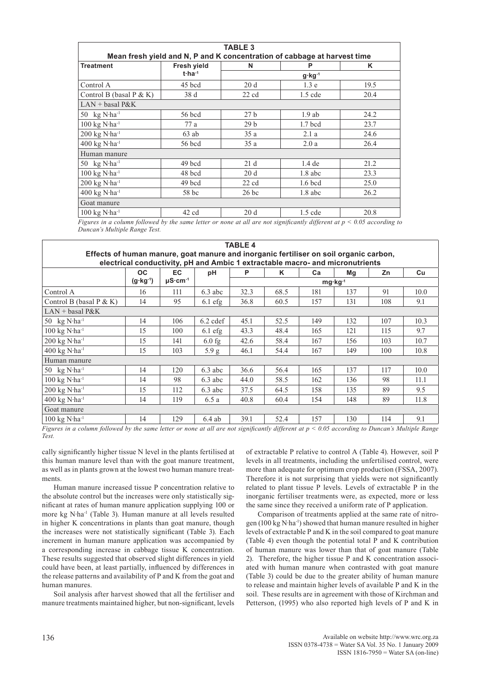| Mean fresh yield and N, P and K concentration of cabbage at harvest time<br>P<br>$g \cdot kg^{-1}$<br>1.3 <sub>e</sub> | K<br>19.5 |  |
|------------------------------------------------------------------------------------------------------------------------|-----------|--|
|                                                                                                                        |           |  |
|                                                                                                                        |           |  |
|                                                                                                                        |           |  |
|                                                                                                                        |           |  |
|                                                                                                                        | 20.4      |  |
|                                                                                                                        |           |  |
| $1.9$ ab                                                                                                               | 24.2      |  |
| $1.7$ bcd                                                                                                              | 23.7      |  |
| 2.1a                                                                                                                   | 24.6      |  |
| 2.0a                                                                                                                   | 26.4      |  |
|                                                                                                                        |           |  |
| $1.4$ de                                                                                                               | 21.2      |  |
| $1.8$ abc                                                                                                              | 23.3      |  |
| $1.6$ bcd                                                                                                              | 25.0      |  |
| $1.8$ abc                                                                                                              | 26.2      |  |
|                                                                                                                        |           |  |
| $1.5$ cde                                                                                                              | 20.8      |  |
|                                                                                                                        | $1.5$ cde |  |

*Figures in a column followed by the same letter or none at all are not significantly different at p < 0.05 according to Duncan's Multiple Range Test.*

|                                                                                                                                                                        |                     |                    |            | TABLE 4 |                                        |                      |     |     |      |  |
|------------------------------------------------------------------------------------------------------------------------------------------------------------------------|---------------------|--------------------|------------|---------|----------------------------------------|----------------------|-----|-----|------|--|
| Effects of human manure, goat manure and inorganic fertiliser on soil organic carbon,<br>electrical conductivity, pH and Ambic 1 extractable macro- and micronutrients |                     |                    |            |         |                                        |                      |     |     |      |  |
|                                                                                                                                                                        | <b>OC</b>           | <b>EC</b>          | рH         | P       | Κ                                      | Ca                   | Mg  | Zn  | Cu   |  |
|                                                                                                                                                                        | $(g \cdot kg^{-1})$ | $\mu$ S·cm $^{-1}$ |            |         |                                        |                      |     |     |      |  |
| Control A                                                                                                                                                              | 16                  | 111                | $6.3$ abc  | 32.3    | 68.5                                   | 181                  | 137 | 91  | 10.0 |  |
| Control B (basal $P & K$ )                                                                                                                                             | 14                  | 95                 | $6.1$ efg  | 36.8    | 60.5                                   | 157                  | 131 | 108 | 9.1  |  |
| $LAN + basal$ $P&K$                                                                                                                                                    |                     |                    |            |         |                                        |                      |     |     |      |  |
| 50 $kg$ N·ha <sup>-1</sup>                                                                                                                                             | 14                  | 106                | $6.2$ cdef | 45.1    | 52.5                                   | 149                  | 132 | 107 | 10.3 |  |
| $100$ kg N·ha <sup>-1</sup>                                                                                                                                            | 15                  | 100                | $6.1$ efg  | 43.3    | 48.4                                   | 165                  | 121 | 115 | 9.7  |  |
| $200$ kg N·ha <sup>-1</sup>                                                                                                                                            | 15                  | 141                | $6.0$ fg   | 42.6    | 58.4                                   | 167                  | 156 | 103 | 10.7 |  |
| $400$ kg N·ha <sup>-1</sup>                                                                                                                                            | 15                  | 103                | 5.9 g      | 46.1    | 54.4                                   | 167                  | 149 | 100 | 10.8 |  |
| Human manure                                                                                                                                                           |                     |                    |            |         |                                        |                      |     |     |      |  |
| 50 $kg$ N·ha <sup>-1</sup>                                                                                                                                             | 14                  | 120                | $6.3$ abc  | 36.6    | 56.4                                   | 165                  | 137 | 117 | 10.0 |  |
| $100 \text{ kg N} \cdot \text{ha}^{-1}$                                                                                                                                | 14                  | 98                 | $6.3$ abc  | 44.0    | 58.5                                   | 162                  | 136 | 98  | 11.1 |  |
| $200$ kg N·ha <sup>-1</sup>                                                                                                                                            | 15                  | 112                | $6.3$ abc  | 37.5    | 64.5                                   | 158                  | 135 | 89  | 9.5  |  |
| $400$ kg N·ha <sup>-1</sup>                                                                                                                                            | 14                  | 119                | 6.5a       | 40.8    | 60.4                                   | 154                  | 148 | 89  | 11.8 |  |
| Goat manure                                                                                                                                                            |                     |                    |            |         |                                        |                      |     |     |      |  |
| $100 \text{ kg N} \cdot \text{ha}^{-1}$                                                                                                                                | 14                  | 129                | $6.4$ ab   | 39.1    | 52.4                                   | 157                  | 130 | 114 | 9.1  |  |
| $\alpha$ and $\alpha$ and $\alpha$ and $\alpha$                                                                                                                        |                     |                    |            |         | $\mathbf{v}$ $\mathbf{v}$ $\mathbf{v}$ | $\sim$ $\sim$ $\sim$ |     |     | .    |  |

*Figures in a column followed by the same letter or none at all are not significantly different at p < 0.05 according to Duncan's Multiple Range Test.*

cally significantly higher tissue N level in the plants fertilised at this human manure level than with the goat manure treatment, as well as in plants grown at the lowest two human manure treatments.

Human manure increased tissue P concentration relative to the absolute control but the increases were only statistically significant at rates of human manure application supplying 100 or more kg N∙ha-1 (Table 3). Human manure at all levels resulted in higher K concentrations in plants than goat manure, though the increases were not statistically significant (Table 3). Each increment in human manure application was accompanied by a corresponding increase in cabbage tissue K concentration. These results suggested that observed slight differences in yield could have been, at least partially, influenced by differences in the release patterns and availability of P and K from the goat and human manures.

Soil analysis after harvest showed that all the fertiliser and manure treatments maintained higher, but non-significant, levels of extractable P relative to control A (Table 4). However, soil P levels in all treatments, including the unfertilised control, were more than adequate for optimum crop production (FSSA, 2007). Therefore it is not surprising that yields were not significantly related to plant tissue P levels. Levels of extractable P in the inorganic fertiliser treatments were, as expected, more or less the same since they received a uniform rate of P application.

Comparison of treatments applied at the same rate of nitrogen (100 kg N∙ha-1) showed that human manure resulted in higher levels of extractable P and K in the soil compared to goat manure (Table 4) even though the potential total P and K contribution of human manure was lower than that of goat manure (Table 2). Therefore, the higher tissue P and K concentration associated with human manure when contrasted with goat manure (Table 3) could be due to the greater ability of human manure to release and maintain higher levels of available P and K in the soil. These results are in agreement with those of Kirchman and Petterson, (1995) who also reported high levels of P and K in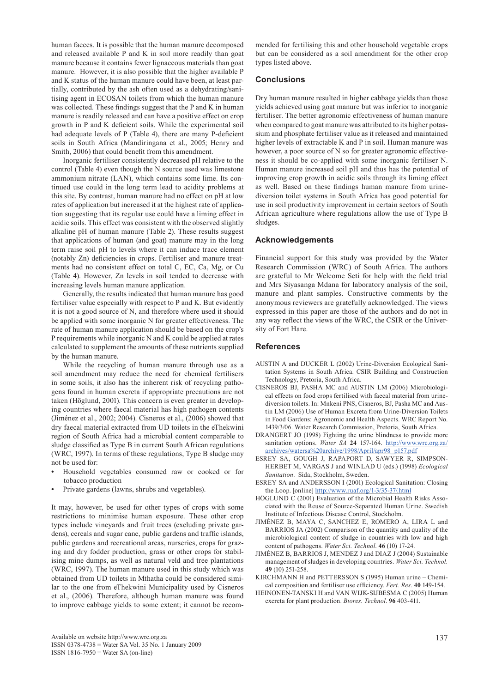human faeces. It is possible that the human manure decomposed and released available P and K in soil more readily than goat manure because it contains fewer lignaceous materials than goat manure. However, it is also possible that the higher available P and K status of the human manure could have been, at least partially, contributed by the ash often used as a dehydrating/sanitising agent in ECOSAN toilets from which the human manure was collected. These findings suggest that the P and K in human manure is readily released and can have a positive effect on crop growth in P and K deficient soils. While the experimental soil had adequate levels of P (Table 4), there are many P-deficient soils in South Africa (Mandiringana et al., 2005; Henry and Smith, 2006) that could benefit from this amendment.

Inorganic fertiliser consistently decreased pH relative to the control (Table 4) even though the N source used was limestone ammonium nitrate (LAN), which contains some lime. Its continued use could in the long term lead to acidity problems at this site. By contrast, human manure had no effect on pH at low rates of application but increased it at the highest rate of application suggesting that its regular use could have a liming effect in acidic soils. This effect was consistent with the observed slightly alkaline pH of human manure (Table 2). These results suggest that applications of human (and goat) manure may in the long term raise soil pH to levels where it can induce trace element (notably Zn) deficiencies in crops. Fertiliser and manure treatments had no consistent effect on total C, EC, Ca, Mg, or Cu (Table 4). However, Zn levels in soil tended to decrease with increasing levels human manure application.

Generally, the results indicated that human manure has good fertiliser value especially with respect to P and K. But evidently it is not a good source of N, and therefore where used it should be applied with some inorganic N for greater effectiveness. The rate of human manure application should be based on the crop's P requirements while inorganic N and K could be applied at rates calculated to supplement the amounts of these nutrients supplied by the human manure.

While the recycling of human manure through use as a soil amendment may reduce the need for chemical fertilisers in some soils, it also has the inherent risk of recycling pathogens found in human excreta if appropriate precautions are not taken (Höglund, 2001). This concern is even greater in developing countries where faecal material has high pathogen contents (Jiménez et al., 2002; 2004). Cisneros et al., (2006) showed that dry faecal material extracted from UD toilets in the eThekwini region of South Africa had a microbial content comparable to sludge classified as Type B in current South African regulations (WRC, 1997). In terms of these regulations, Type B sludge may not be used for:

- **•** Household vegetables consumed raw or cooked or for tobacco production
- **•** Private gardens (lawns, shrubs and vegetables).

It may, however, be used for other types of crops with some restrictions to minimise human exposure. These other crop types include vineyards and fruit trees (excluding private gardens), cereals and sugar cane, public gardens and traffic islands, public gardens and recreational areas, nurseries, crops for grazing and dry fodder production, grass or other crops for stabilising mine dumps, as well as natural veld and tree plantations (WRC, 1997). The human manure used in this study which was obtained from UD toilets in Mthatha could be considered similar to the one from eThekwini Municipality used by Cisneros et al., (2006). Therefore, although human manure was found to improve cabbage yields to some extent; it cannot be recommended for fertilising this and other household vegetable crops but can be considered as a soil amendment for the other crop types listed above.

#### **Conclusions**

Dry human manure resulted in higher cabbage yields than those yields achieved using goat manure but was inferior to inorganic fertiliser. The better agronomic effectiveness of human manure when compared to goat manure was attributed to its higher potassium and phosphate fertiliser value as it released and maintained higher levels of extractable K and P in soil. Human manure was however, a poor source of N so for greater agronomic effectiveness it should be co-applied with some inorganic fertiliser N. Human manure increased soil pH and thus has the potential of improving crop growth in acidic soils through its liming effect as well. Based on these findings human manure from urinediversion toilet systems in South Africa has good potential for use in soil productivity improvement in certain sectors of South African agriculture where regulations allow the use of Type B sludges.

#### **Acknowledgements**

Financial support for this study was provided by the Water Research Commission (WRC) of South Africa. The authors are grateful to Mr Welcome Seti for help with the field trial and Mrs Siyasanga Mdana for laboratory analysis of the soil, manure and plant samples. Constructive comments by the anonymous reviewers are gratefully acknowledged. The views expressed in this paper are those of the authors and do not in any way reflect the views of the WRC, the CSIR or the University of Fort Hare.

#### **References**

- AUSTIN A and DUCKER L (2002) Urine-Diversion Ecological Sanitation Systems in South Africa. CSIR Building and Construction Technology, Pretoria, South Africa.
- CISNEROS BJ, PASHA MC and AUSTIN LM (2006) Microbiological effects on food crops fertilised with faecal material from urinediversion toilets. In: Mnkeni PNS, Cisneros, BJ, Pasha MC and Austin LM (2006) Use of Human Excreta from Urine-Diversion Toilets in Food Gardens: Agronomic and Health Aspects. WRC Report No. 1439/3/06. Water Research Commission, Pretoria, South Africa.
- DRANGERT JO (1998) Fighting the urine blindness to provide more sanitation options. *Water SA* **24** 157-164. http://www.wrc.org.za/ archives/watersa%20archive/1998/April/apr98\_p157.pdf
- ESREY SA, GOUGH J, RAPAPORT D, SAWYER R, SIMPSON-HERBET M, VARGAS J and WINLAD U (eds.) (1998) *Ecological Sanitation*. Sida, Stockholm, Sweden.
- ESREY SA and ANDERSSON I (2001) Ecological Sanitation: Closing the Loop. [online] http://www.ruaf.org/1-3/35-37/.html
- HÖGLUND C (2001) Evaluation of the Microbial Health Risks Associated with the Reuse of Source-Separated Human Urine. Swedish Institute of Infectious Disease Control, Stockholm.
- JIMÉNEZ B, MAYA C, SANCHEZ E, ROMERO A, LIRA L and BARRIOS JA (2002) Comparison of the quantity and quality of the microbiological content of sludge in countries with low and high content of pathogens. *Water Sci. Technol*. **46** (10) 17-24.
- JIMÉNEZ B, BARRIOS J, MENDEZ J and DIAZ J (2004) Sustainable management of sludges in developing countries. *Water Sci. Technol.* **49** (10) 251-258.
- KIRCHMANN H and PETTERSSON S (1995) Human urine Chemical composition and fertiliser use efficiency. *Fert. Res*. **40** 149-154.
- HEINONEN-TANSKI H and VAN WIJK-SIJBESMA C (2005) Human excreta for plant production. *Biores. Technol*. **96** 403-411.